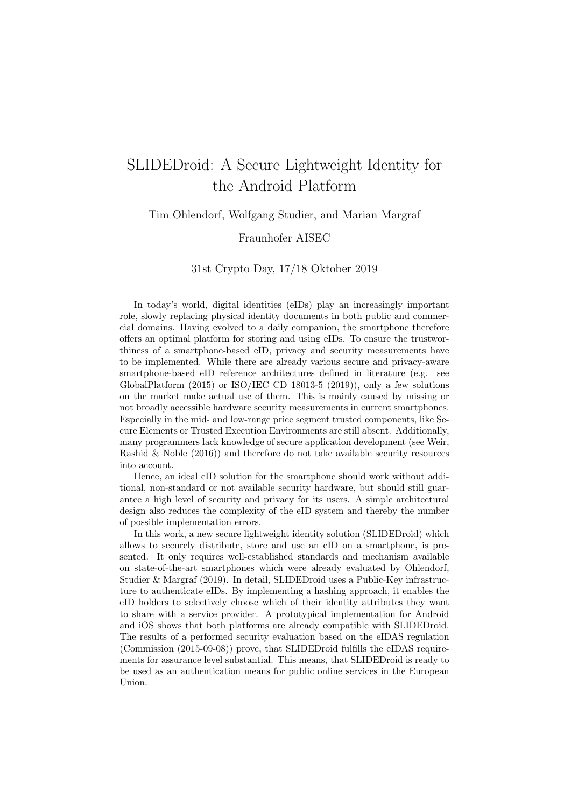# SLIDEDroid: A Secure Lightweight Identity for the Android Platform

Tim Ohlendorf, Wolfgang Studier, and Marian Margraf

#### Fraunhofer AISEC

#### 31st Crypto Day, 17/18 Oktober 2019

In today's world, digital identities (eIDs) play an increasingly important role, slowly replacing physical identity documents in both public and commercial domains. Having evolved to a daily companion, the smartphone therefore offers an optimal platform for storing and using eIDs. To ensure the trustworthiness of a smartphone-based eID, privacy and security measurements have to be implemented. While there are already various secure and privacy-aware smartphone-based eID reference architectures defined in literature (e.g. see GlobalPlatform  $(2015)$  or ISO/IEC CD 18013-5  $(2019)$ ), only a few solutions on the market make actual use of them. This is mainly caused by missing or not broadly accessible hardware security measurements in current smartphones. Especially in the mid- and low-range price segment trusted components, like Secure Elements or Trusted Execution Environments are still absent. Additionally, many programmers lack knowledge of secure application development (see Weir, Rashid & Noble (2016)) and therefore do not take available security resources into account.

Hence, an ideal eID solution for the smartphone should work without additional, non-standard or not available security hardware, but should still guarantee a high level of security and privacy for its users. A simple architectural design also reduces the complexity of the eID system and thereby the number of possible implementation errors.

In this work, a new secure lightweight identity solution (SLIDEDroid) which allows to securely distribute, store and use an eID on a smartphone, is presented. It only requires well-established standards and mechanism available on state-of-the-art smartphones which were already evaluated by Ohlendorf, Studier & Margraf (2019). In detail, SLIDEDroid uses a Public-Key infrastructure to authenticate eIDs. By implementing a hashing approach, it enables the eID holders to selectively choose which of their identity attributes they want to share with a service provider. A prototypical implementation for Android and iOS shows that both platforms are already compatible with SLIDEDroid. The results of a performed security evaluation based on the eIDAS regulation (Commission (2015-09-08)) prove, that SLIDEDroid fulfills the eIDAS requirements for assurance level substantial. This means, that SLIDEDroid is ready to be used as an authentication means for public online services in the European Union.